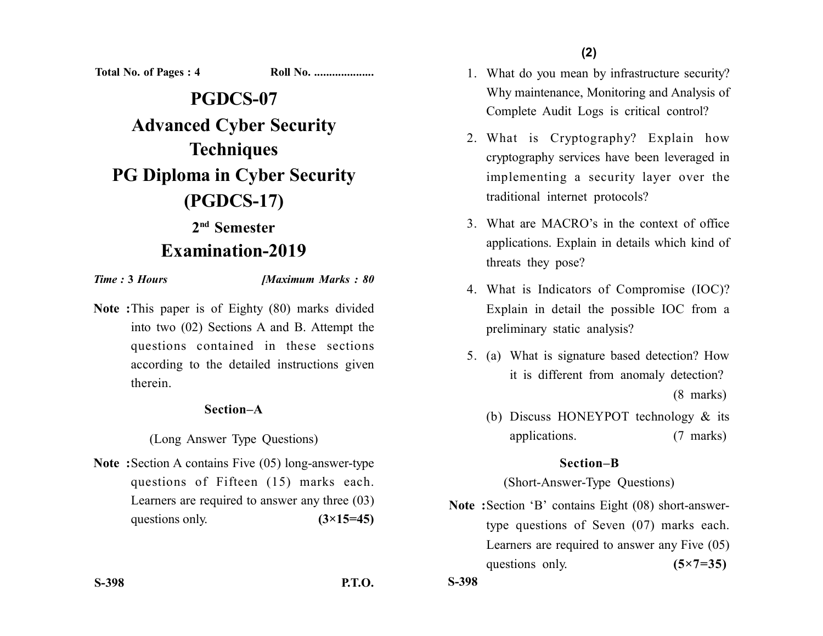**(2)**

**Total No. of Pages : 4 Roll No. ....................**

**PGDCS-07 Advanced Cyber Security Techniques PG Diploma in Cyber Security (PGDCS-17)**

## **2nd Semester Examination-2019**

*Time :* **3** *Hours [Maximum Marks : 80*

**Note :**This paper is of Eighty (80) marks divided into two (02) Sections A and B. Attempt the questions contained in these sections according to the detailed instructions given therein.

## **Section–A**

(Long Answer Type Questions)

**Note :**Section A contains Five (05) long-answer-type questions of Fifteen (15) marks each. Learners are required to answer any three (03) questions only.  $(3\times15=45)$ 

- 1. What do you mean by infrastructure security? Why maintenance, Monitoring and Analysis of Complete Audit Logs is critical control?
- 2. What is Cryptography? Explain how cryptography services have been leveraged in implementing a security layer over the traditional internet protocols?
- 3. What are MACRO's in the context of office applications. Explain in details which kind of threats they pose?
- 4. What is Indicators of Compromise (IOC)? Explain in detail the possible IOC from a preliminary static analysis?
- 5. (a) What is signature based detection? How it is different from anomaly detection? (8 marks)
	- (b) Discuss HONEYPOT technology & its applications. (7 marks)

## **Section–B**

(Short-Answer-Type Questions)

**Note :**Section 'B' contains Eight (08) short-answertype questions of Seven (07) marks each. Learners are required to answer any Five (05) questions only. **(5×7=35)** 

**S-398 P.T.O.**